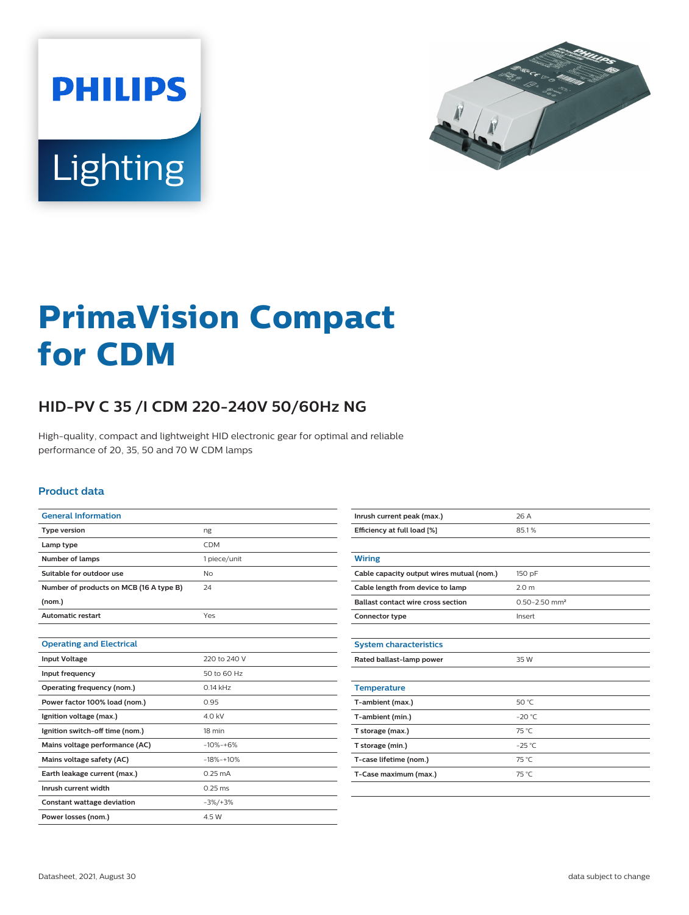



# **PrimaVision Compact for CDM**

## **HID-PV C 35 /I CDM 220-240V 50/60Hz NG**

High-quality, compact and lightweight HID electronic gear for optimal and reliable performance of 20, 35, 50 and 70 W CDM lamps

#### **Product data**

| <b>General Information</b>              |                   |
|-----------------------------------------|-------------------|
| <b>Type version</b>                     | ng                |
| Lamp type                               | <b>CDM</b>        |
| <b>Number of lamps</b>                  | 1 piece/unit      |
| Suitable for outdoor use                | No                |
| Number of products on MCB (16 A type B) | 24                |
| (nom.)                                  |                   |
| <b>Automatic restart</b>                | Yes               |
|                                         |                   |
| <b>Operating and Electrical</b>         |                   |
| <b>Input Voltage</b>                    | 220 to 240 V      |
| Input frequency                         | 50 to 60 Hz       |
| Operating frequency (nom.)              | $0.14$ kHz        |
| Power factor 100% load (nom.)           | 0.95              |
| Ignition voltage (max.)                 | 4.0 kV            |
| Ignition switch-off time (nom.)         | 18 min            |
| Mains voltage performance (AC)          | $-10% - +6%$      |
| Mains voltage safety (AC)               | $-18% - +10%$     |
| Earth leakage current (max.)            | $0.25 \text{ mA}$ |
| Inrush current width                    | $0.25$ ms         |
| <b>Constant wattage deviation</b>       | $-3\%/+3\%$       |
| Power losses (nom.)                     | 4.5 W             |

| Inrush current peak (max.)                | 26 A                          |  |
|-------------------------------------------|-------------------------------|--|
| Efficiency at full load [%]               | 85.1%                         |  |
|                                           |                               |  |
| <b>Wiring</b>                             |                               |  |
| Cable capacity output wires mutual (nom.) | 150 pF                        |  |
| Cable length from device to lamp          | 2.0 <sub>m</sub>              |  |
| <b>Ballast contact wire cross section</b> | $0.50 - 2.50$ mm <sup>2</sup> |  |
| Connector type                            | Insert                        |  |
|                                           |                               |  |
| <b>System characteristics</b>             |                               |  |
| Rated ballast-lamp power                  | 35 W                          |  |
|                                           |                               |  |
| <b>Temperature</b>                        |                               |  |
| T-ambient (max.)                          | 50 °C                         |  |
| T-ambient (min.)                          | $-20 °C$                      |  |
| T storage (max.)                          | 75 °C                         |  |
| T storage (min.)                          | $-25$ °C                      |  |
| T-case lifetime (nom.)                    | 75 °C                         |  |
| T-Case maximum (max.)                     | 75 °C                         |  |
|                                           |                               |  |